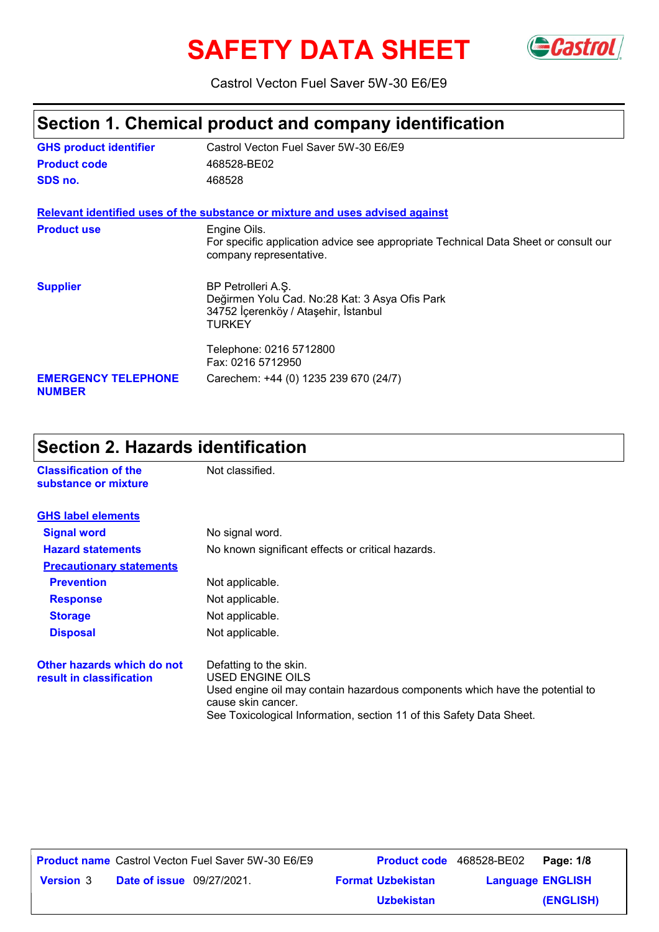# SAFETY DATA SHEET GCastrol



Castrol Vecton Fuel Saver 5W-30 E6/E9

# **Section 1. Chemical product and company identification**

| <b>GHS product identifier</b>               | Castrol Vecton Fuel Saver 5W-30 E6/E9                                                                                  |
|---------------------------------------------|------------------------------------------------------------------------------------------------------------------------|
| <b>Product code</b>                         | 468528-BE02                                                                                                            |
| SDS no.                                     | 468528                                                                                                                 |
|                                             | Relevant identified uses of the substance or mixture and uses advised against                                          |
| <b>Product use</b>                          | Engine Oils.                                                                                                           |
|                                             | For specific application advice see appropriate Technical Data Sheet or consult our<br>company representative.         |
| <b>Supplier</b>                             | BP Petrolleri A.Ş.<br>Değirmen Yolu Cad. No:28 Kat: 3 Asya Ofis Park<br>34752 İçerenköy / Ataşehir, İstanbul<br>TURKEY |
|                                             | Telephone: 0216 5712800<br>Fax: 0216 5712950                                                                           |
| <b>EMERGENCY TELEPHONE</b><br><b>NUMBER</b> | Carechem: +44 (0) 1235 239 670 (24/7)                                                                                  |

# **Section 2. Hazards identification**

| <b>Classification of the</b><br>substance or mixture   | Not classified.                                                                                                                                                                                                          |
|--------------------------------------------------------|--------------------------------------------------------------------------------------------------------------------------------------------------------------------------------------------------------------------------|
| <b>GHS label elements</b>                              |                                                                                                                                                                                                                          |
| <b>Signal word</b>                                     | No signal word.                                                                                                                                                                                                          |
| <b>Hazard statements</b>                               | No known significant effects or critical hazards.                                                                                                                                                                        |
| <b>Precautionary statements</b>                        |                                                                                                                                                                                                                          |
| <b>Prevention</b>                                      | Not applicable.                                                                                                                                                                                                          |
| <b>Response</b>                                        | Not applicable.                                                                                                                                                                                                          |
| <b>Storage</b>                                         | Not applicable.                                                                                                                                                                                                          |
| <b>Disposal</b>                                        | Not applicable.                                                                                                                                                                                                          |
| Other hazards which do not<br>result in classification | Defatting to the skin.<br>USED ENGINE OILS<br>Used engine oil may contain hazardous components which have the potential to<br>cause skin cancer.<br>See Toxicological Information, section 11 of this Safety Data Sheet. |

**Date of issue** 09/27/2021. **Version** 3 **Format Uzbekistan Language Product name** Castrol Vecton Fuel Saver 5W-30 E6/E9 **Product code** 468528-BE02 **Page: 1/8 Language ENGLISH (ENGLISH)** Product code 468528-BE02 Page: 1/8 **Uzbekistan**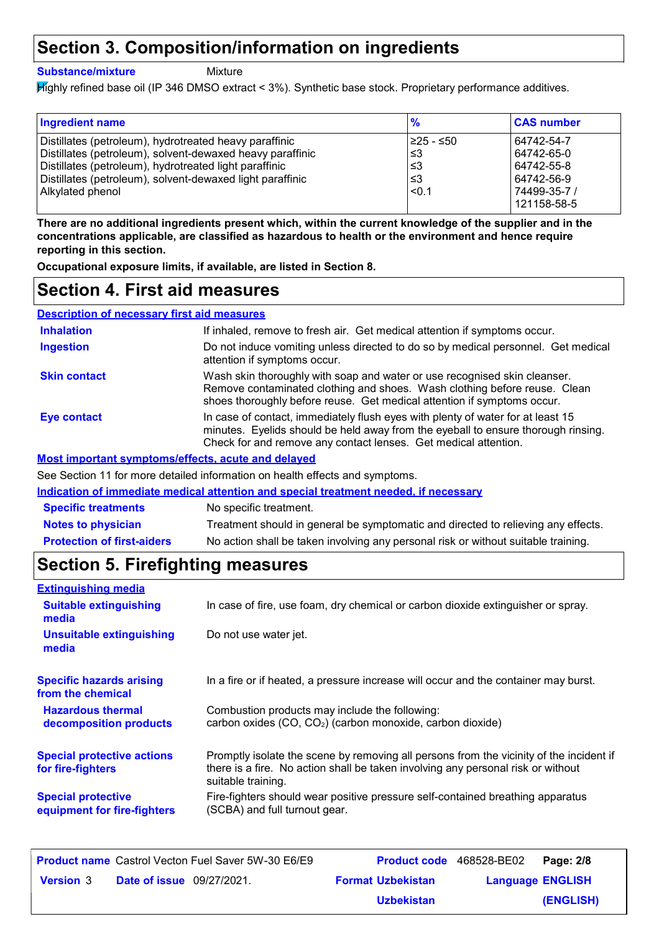### **Section 3. Composition/information on ingredients**

#### **Substance/mixture**

Mixture

Highly refined base oil (IP 346 DMSO extract < 3%). Synthetic base stock. Proprietary performance additives.

| <b>Ingredient name</b>                                    | $\frac{9}{6}$ | <b>CAS number</b>           |
|-----------------------------------------------------------|---------------|-----------------------------|
| Distillates (petroleum), hydrotreated heavy paraffinic    | l≥25 - ≤50    | 64742-54-7                  |
| Distillates (petroleum), solvent-dewaxed heavy paraffinic | ՝≤3           | 64742-65-0                  |
| Distillates (petroleum), hydrotreated light paraffinic    | ՝≤3           | 64742-55-8                  |
| Distillates (petroleum), solvent-dewaxed light paraffinic | ՝≤3           | 64742-56-9                  |
| Alkylated phenol                                          | < 0.1         | 74499-35-7 /<br>121158-58-5 |

**There are no additional ingredients present which, within the current knowledge of the supplier and in the concentrations applicable, are classified as hazardous to health or the environment and hence require reporting in this section.**

**Occupational exposure limits, if available, are listed in Section 8.**

### **Section 4. First aid measures**

| <b>Description of necessary first aid measures</b>        |                                                                                                                                                                                                                                         |
|-----------------------------------------------------------|-----------------------------------------------------------------------------------------------------------------------------------------------------------------------------------------------------------------------------------------|
| <b>Inhalation</b>                                         | If inhaled, remove to fresh air. Get medical attention if symptoms occur.                                                                                                                                                               |
| <b>Ingestion</b>                                          | Do not induce vomiting unless directed to do so by medical personnel. Get medical<br>attention if symptoms occur.                                                                                                                       |
| <b>Skin contact</b>                                       | Wash skin thoroughly with soap and water or use recognised skin cleanser.<br>Remove contaminated clothing and shoes. Wash clothing before reuse. Clean<br>shoes thoroughly before reuse. Get medical attention if symptoms occur.       |
| <b>Eye contact</b>                                        | In case of contact, immediately flush eyes with plenty of water for at least 15<br>minutes. Eyelids should be held away from the eyeball to ensure thorough rinsing.<br>Check for and remove any contact lenses. Get medical attention. |
| <b>Most important symptoms/effects, acute and delayed</b> |                                                                                                                                                                                                                                         |

See Section 11 for more detailed information on health effects and symptoms.

**Indication of immediate medical attention and special treatment needed, if necessary**

| <b>Specific treatments</b>        | No specific treatment.                                                             |
|-----------------------------------|------------------------------------------------------------------------------------|
| <b>Notes to physician</b>         | Treatment should in general be symptomatic and directed to relieving any effects.  |
| <b>Protection of first-aiders</b> | No action shall be taken involving any personal risk or without suitable training. |

## **Section 5. Firefighting measures**

| <b>Extinguishing media</b>                               |                                                                                                                                                                                                   |
|----------------------------------------------------------|---------------------------------------------------------------------------------------------------------------------------------------------------------------------------------------------------|
| <b>Suitable extinguishing</b><br>media                   | In case of fire, use foam, dry chemical or carbon dioxide extinguisher or spray.                                                                                                                  |
| <b>Unsuitable extinguishing</b><br>media                 | Do not use water jet.                                                                                                                                                                             |
| <b>Specific hazards arising</b><br>from the chemical     | In a fire or if heated, a pressure increase will occur and the container may burst.                                                                                                               |
| <b>Hazardous thermal</b><br>decomposition products       | Combustion products may include the following:<br>carbon oxides (CO, CO <sub>2</sub> ) (carbon monoxide, carbon dioxide)                                                                          |
| <b>Special protective actions</b><br>for fire-fighters   | Promptly isolate the scene by removing all persons from the vicinity of the incident if<br>there is a fire. No action shall be taken involving any personal risk or without<br>suitable training. |
| <b>Special protective</b><br>equipment for fire-fighters | Fire-fighters should wear positive pressure self-contained breathing apparatus<br>(SCBA) and full turnout gear.                                                                                   |

| <b>Product name</b> Castrol Vecton Fuel Saver 5W-30 E6/E9 | Product code 468528-BE02 |                         | Page: 2/8 |
|-----------------------------------------------------------|--------------------------|-------------------------|-----------|
| <b>Date of issue</b> 09/27/2021.<br><b>Version 3</b>      | <b>Format Uzbekistan</b> | <b>Language ENGLISH</b> |           |
|                                                           | <b>Uzbekistan</b>        |                         | (ENGLISH) |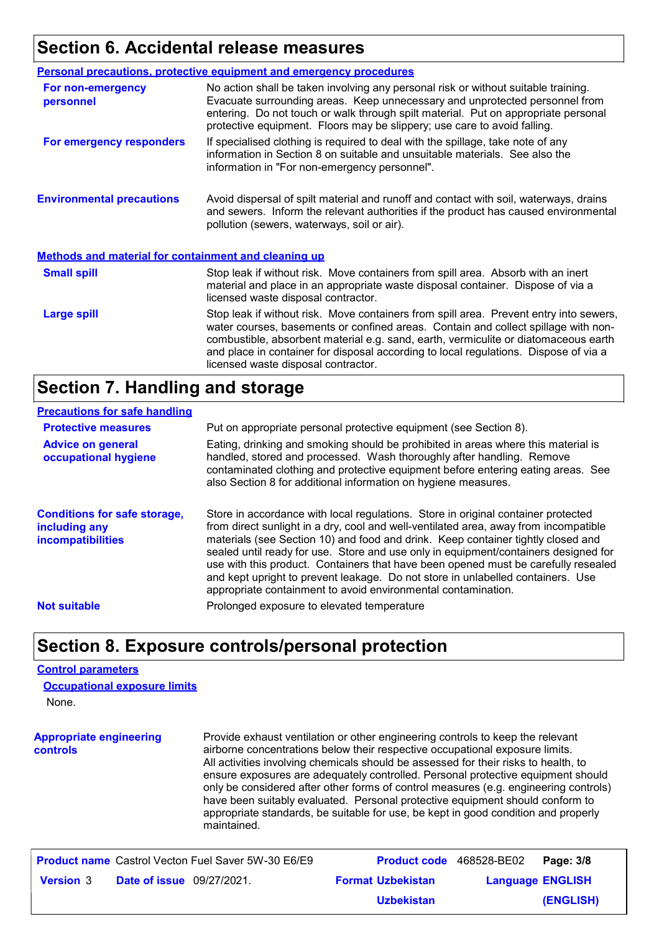## **Section 6. Accidental release measures**

|                                                             | <b>Personal precautions, protective equipment and emergency procedures</b>                                                                                                                                                                                                                                                                                                                         |
|-------------------------------------------------------------|----------------------------------------------------------------------------------------------------------------------------------------------------------------------------------------------------------------------------------------------------------------------------------------------------------------------------------------------------------------------------------------------------|
| For non-emergency<br>personnel                              | No action shall be taken involving any personal risk or without suitable training.<br>Evacuate surrounding areas. Keep unnecessary and unprotected personnel from<br>entering. Do not touch or walk through spilt material. Put on appropriate personal<br>protective equipment. Floors may be slippery; use care to avoid falling.                                                                |
| For emergency responders                                    | If specialised clothing is required to deal with the spillage, take note of any<br>information in Section 8 on suitable and unsuitable materials. See also the<br>information in "For non-emergency personnel".                                                                                                                                                                                    |
| <b>Environmental precautions</b>                            | Avoid dispersal of spilt material and runoff and contact with soil, waterways, drains<br>and sewers. Inform the relevant authorities if the product has caused environmental<br>pollution (sewers, waterways, soil or air).                                                                                                                                                                        |
| <b>Methods and material for containment and cleaning up</b> |                                                                                                                                                                                                                                                                                                                                                                                                    |
| <b>Small spill</b>                                          | Stop leak if without risk. Move containers from spill area. Absorb with an inert<br>material and place in an appropriate waste disposal container. Dispose of via a<br>licensed waste disposal contractor.                                                                                                                                                                                         |
| <b>Large spill</b>                                          | Stop leak if without risk. Move containers from spill area. Prevent entry into sewers,<br>water courses, basements or confined areas. Contain and collect spillage with non-<br>combustible, absorbent material e.g. sand, earth, vermiculite or diatomaceous earth<br>and place in container for disposal according to local regulations. Dispose of via a<br>licensed waste disposal contractor. |

### **Section 7. Handling and storage**

#### **Precautions for safe handling**

| <b>Protective measures</b>                                                       | Put on appropriate personal protective equipment (see Section 8).                                                                                                                                                                                                                                                                                                                                                                                                                                                                                                                              |
|----------------------------------------------------------------------------------|------------------------------------------------------------------------------------------------------------------------------------------------------------------------------------------------------------------------------------------------------------------------------------------------------------------------------------------------------------------------------------------------------------------------------------------------------------------------------------------------------------------------------------------------------------------------------------------------|
| <b>Advice on general</b><br>occupational hygiene                                 | Eating, drinking and smoking should be prohibited in areas where this material is<br>handled, stored and processed. Wash thoroughly after handling. Remove<br>contaminated clothing and protective equipment before entering eating areas. See<br>also Section 8 for additional information on hygiene measures.                                                                                                                                                                                                                                                                               |
| <b>Conditions for safe storage,</b><br>including any<br><b>incompatibilities</b> | Store in accordance with local regulations. Store in original container protected<br>from direct sunlight in a dry, cool and well-ventilated area, away from incompatible<br>materials (see Section 10) and food and drink. Keep container tightly closed and<br>sealed until ready for use. Store and use only in equipment/containers designed for<br>use with this product. Containers that have been opened must be carefully resealed<br>and kept upright to prevent leakage. Do not store in unlabelled containers. Use<br>appropriate containment to avoid environmental contamination. |
| <b>Not suitable</b>                                                              | Prolonged exposure to elevated temperature                                                                                                                                                                                                                                                                                                                                                                                                                                                                                                                                                     |

### **Section 8. Exposure controls/personal protection**

### **Control parameters**

None. **Occupational exposure limits**

**Appropriate engineering controls** Provide exhaust ventilation or other engineering controls to keep the relevant airborne concentrations below their respective occupational exposure limits. All activities involving chemicals should be assessed for their risks to health, to ensure exposures are adequately controlled. Personal protective equipment should only be considered after other forms of control measures (e.g. engineering controls) have been suitably evaluated. Personal protective equipment should conform to appropriate standards, be suitable for use, be kept in good condition and properly maintained.

|                  |                                  | <b>Product name</b> Castrol Vecton Fuel Saver 5W-30 E6/E9 | <b>Product code</b> 468528-BE02 |                         | Page: 3/8 |
|------------------|----------------------------------|-----------------------------------------------------------|---------------------------------|-------------------------|-----------|
| <b>Version</b> 3 | <b>Date of issue</b> 09/27/2021. |                                                           | <b>Format Uzbekistan</b>        | <b>Language ENGLISH</b> |           |
|                  |                                  |                                                           | <b>Uzbekistan</b>               |                         | (ENGLISH) |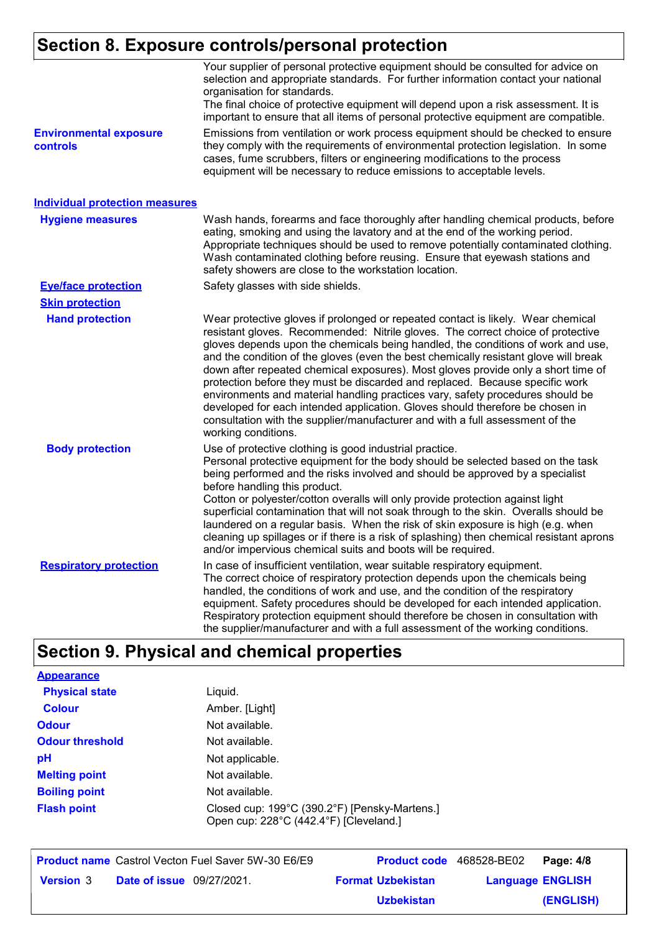# **Section 8. Exposure controls/personal protection**

| <b>Environmental exposure</b><br>controls | Your supplier of personal protective equipment should be consulted for advice on<br>selection and appropriate standards. For further information contact your national<br>organisation for standards.<br>The final choice of protective equipment will depend upon a risk assessment. It is<br>important to ensure that all items of personal protective equipment are compatible.<br>Emissions from ventilation or work process equipment should be checked to ensure<br>they comply with the requirements of environmental protection legislation. In some<br>cases, fume scrubbers, filters or engineering modifications to the process<br>equipment will be necessary to reduce emissions to acceptable levels.                                                                             |
|-------------------------------------------|-------------------------------------------------------------------------------------------------------------------------------------------------------------------------------------------------------------------------------------------------------------------------------------------------------------------------------------------------------------------------------------------------------------------------------------------------------------------------------------------------------------------------------------------------------------------------------------------------------------------------------------------------------------------------------------------------------------------------------------------------------------------------------------------------|
| <b>Individual protection measures</b>     |                                                                                                                                                                                                                                                                                                                                                                                                                                                                                                                                                                                                                                                                                                                                                                                                 |
| <b>Hygiene measures</b>                   | Wash hands, forearms and face thoroughly after handling chemical products, before<br>eating, smoking and using the lavatory and at the end of the working period.<br>Appropriate techniques should be used to remove potentially contaminated clothing.<br>Wash contaminated clothing before reusing. Ensure that eyewash stations and<br>safety showers are close to the workstation location.                                                                                                                                                                                                                                                                                                                                                                                                 |
| <b>Eye/face protection</b>                | Safety glasses with side shields.                                                                                                                                                                                                                                                                                                                                                                                                                                                                                                                                                                                                                                                                                                                                                               |
| <b>Skin protection</b>                    |                                                                                                                                                                                                                                                                                                                                                                                                                                                                                                                                                                                                                                                                                                                                                                                                 |
| <b>Hand protection</b>                    | Wear protective gloves if prolonged or repeated contact is likely. Wear chemical<br>resistant gloves. Recommended: Nitrile gloves. The correct choice of protective<br>gloves depends upon the chemicals being handled, the conditions of work and use,<br>and the condition of the gloves (even the best chemically resistant glove will break<br>down after repeated chemical exposures). Most gloves provide only a short time of<br>protection before they must be discarded and replaced. Because specific work<br>environments and material handling practices vary, safety procedures should be<br>developed for each intended application. Gloves should therefore be chosen in<br>consultation with the supplier/manufacturer and with a full assessment of the<br>working conditions. |
| <b>Body protection</b>                    | Use of protective clothing is good industrial practice.<br>Personal protective equipment for the body should be selected based on the task<br>being performed and the risks involved and should be approved by a specialist<br>before handling this product.<br>Cotton or polyester/cotton overalls will only provide protection against light<br>superficial contamination that will not soak through to the skin. Overalls should be<br>laundered on a regular basis. When the risk of skin exposure is high (e.g. when<br>cleaning up spillages or if there is a risk of splashing) then chemical resistant aprons<br>and/or impervious chemical suits and boots will be required.                                                                                                           |
| <b>Respiratory protection</b>             | In case of insufficient ventilation, wear suitable respiratory equipment.<br>The correct choice of respiratory protection depends upon the chemicals being<br>handled, the conditions of work and use, and the condition of the respiratory<br>equipment. Safety procedures should be developed for each intended application.<br>Respiratory protection equipment should therefore be chosen in consultation with<br>the supplier/manufacturer and with a full assessment of the working conditions.                                                                                                                                                                                                                                                                                           |

# **Section 9. Physical and chemical properties**

| <b>Appearance</b>      |                                                                                         |
|------------------------|-----------------------------------------------------------------------------------------|
| <b>Physical state</b>  | Liquid.                                                                                 |
| Colour                 | Amber. [Light]                                                                          |
| <b>Odour</b>           | Not available.                                                                          |
| <b>Odour threshold</b> | Not available.                                                                          |
| рH                     | Not applicable.                                                                         |
| <b>Melting point</b>   | Not available.                                                                          |
| <b>Boiling point</b>   | Not available.                                                                          |
| <b>Flash point</b>     | Closed cup: 199°C (390.2°F) [Pensky-Martens.]<br>Open cup: 228°C (442.4°F) [Cleveland.] |

|                  |                                  | <b>Product name</b> Castrol Vecton Fuel Saver 5W-30 E6/E9 |                          | <b>Product code</b> 468528-BE02 Page: 4/8 |           |
|------------------|----------------------------------|-----------------------------------------------------------|--------------------------|-------------------------------------------|-----------|
| <b>Version 3</b> | <b>Date of issue</b> 09/27/2021. |                                                           | <b>Format Uzbekistan</b> | <b>Language ENGLISH</b>                   |           |
|                  |                                  |                                                           | <b>Uzbekistan</b>        |                                           | (ENGLISH) |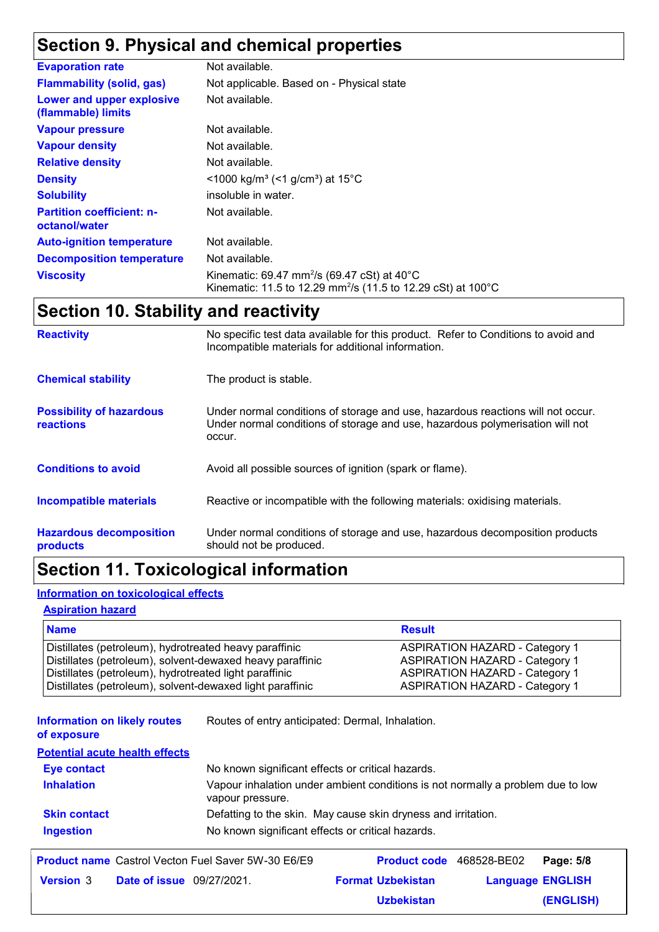# **Section 9. Physical and chemical properties**

| <b>Evaporation rate</b>                           | Not available.                                                                                                                                 |
|---------------------------------------------------|------------------------------------------------------------------------------------------------------------------------------------------------|
| <b>Flammability (solid, gas)</b>                  | Not applicable. Based on - Physical state                                                                                                      |
| Lower and upper explosive<br>(flammable) limits   | Not available.                                                                                                                                 |
| <b>Vapour pressure</b>                            | Not available.                                                                                                                                 |
| <b>Vapour density</b>                             | Not available.                                                                                                                                 |
| <b>Relative density</b>                           | Not available.                                                                                                                                 |
| <b>Density</b>                                    | $\leq$ 1000 kg/m <sup>3</sup> (<1 g/cm <sup>3</sup> ) at 15 <sup>°</sup> C                                                                     |
| <b>Solubility</b>                                 | insoluble in water.                                                                                                                            |
| <b>Partition coefficient: n-</b><br>octanol/water | Not available.                                                                                                                                 |
| <b>Auto-ignition temperature</b>                  | Not available.                                                                                                                                 |
| <b>Decomposition temperature</b>                  | Not available.                                                                                                                                 |
| <b>Viscosity</b>                                  | Kinematic: 69.47 mm <sup>2</sup> /s (69.47 cSt) at 40 $^{\circ}$ C<br>Kinematic: 11.5 to 12.29 mm <sup>2</sup> /s (11.5 to 12.29 cSt) at 100°C |

# **Section 10. Stability and reactivity**

| <b>Reactivity</b>                                   | No specific test data available for this product. Refer to Conditions to avoid and<br>Incompatible materials for additional information.                                   |
|-----------------------------------------------------|----------------------------------------------------------------------------------------------------------------------------------------------------------------------------|
| <b>Chemical stability</b>                           | The product is stable.                                                                                                                                                     |
| <b>Possibility of hazardous</b><br><b>reactions</b> | Under normal conditions of storage and use, hazardous reactions will not occur.<br>Under normal conditions of storage and use, hazardous polymerisation will not<br>occur. |
| <b>Conditions to avoid</b>                          | Avoid all possible sources of ignition (spark or flame).                                                                                                                   |
| Incompatible materials                              | Reactive or incompatible with the following materials: oxidising materials.                                                                                                |
| <b>Hazardous decomposition</b><br>products          | Under normal conditions of storage and use, hazardous decomposition products<br>should not be produced.                                                                    |

# **Section 11. Toxicological information**

### **Information on toxicological effects**

#### **Aspiration hazard**

| <b>Name</b>                                               | <b>Result</b>                         |
|-----------------------------------------------------------|---------------------------------------|
| Distillates (petroleum), hydrotreated heavy paraffinic    | <b>ASPIRATION HAZARD - Category 1</b> |
| Distillates (petroleum), solvent-dewaxed heavy paraffinic | <b>ASPIRATION HAZARD - Category 1</b> |
| Distillates (petroleum), hydrotreated light paraffinic    | <b>ASPIRATION HAZARD - Category 1</b> |
| Distillates (petroleum), solvent-dewaxed light paraffinic | <b>ASPIRATION HAZARD - Category 1</b> |

**Information on likely routes**  Routes of entry anticipated: Dermal, Inhalation.

**of exposure**

**Potential acute health effects**

| No known significant effects or critical hazards.                                                   |
|-----------------------------------------------------------------------------------------------------|
| Vapour inhalation under ambient conditions is not normally a problem due to low<br>vapour pressure. |
| Defatting to the skin. May cause skin dryness and irritation.                                       |
| No known significant effects or critical hazards.                                                   |
|                                                                                                     |

|                  |                                  | <b>Product name</b> Castrol Vecton Fuel Saver 5W-30 E6/E9 |                          | Product code 468528-BE02 Page: 5/8 |           |
|------------------|----------------------------------|-----------------------------------------------------------|--------------------------|------------------------------------|-----------|
| <b>Version 3</b> | <b>Date of issue</b> 09/27/2021. |                                                           | <b>Format Uzbekistan</b> | <b>Language ENGLISH</b>            |           |
|                  |                                  |                                                           | <b>Uzbekistan</b>        |                                    | (ENGLISH) |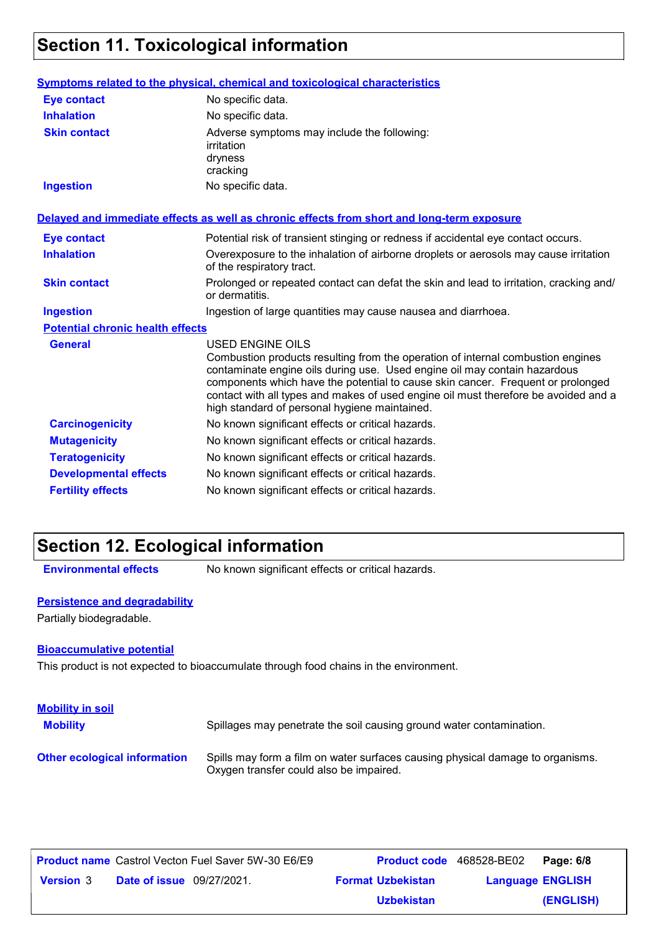# **Section 11. Toxicological information**

|                                         | Symptoms related to the physical, chemical and toxicological characteristics                                                                                                                                                                                                                                                                                                                                       |  |  |
|-----------------------------------------|--------------------------------------------------------------------------------------------------------------------------------------------------------------------------------------------------------------------------------------------------------------------------------------------------------------------------------------------------------------------------------------------------------------------|--|--|
| <b>Eye contact</b>                      | No specific data.                                                                                                                                                                                                                                                                                                                                                                                                  |  |  |
| <b>Inhalation</b>                       | No specific data.                                                                                                                                                                                                                                                                                                                                                                                                  |  |  |
| <b>Skin contact</b>                     | Adverse symptoms may include the following:<br>irritation<br>dryness<br>cracking                                                                                                                                                                                                                                                                                                                                   |  |  |
| <b>Ingestion</b>                        | No specific data.                                                                                                                                                                                                                                                                                                                                                                                                  |  |  |
|                                         | Delayed and immediate effects as well as chronic effects from short and long-term exposure                                                                                                                                                                                                                                                                                                                         |  |  |
| <b>Eye contact</b>                      | Potential risk of transient stinging or redness if accidental eye contact occurs.                                                                                                                                                                                                                                                                                                                                  |  |  |
| <b>Inhalation</b>                       | Overexposure to the inhalation of airborne droplets or aerosols may cause irritation<br>of the respiratory tract.                                                                                                                                                                                                                                                                                                  |  |  |
| <b>Skin contact</b>                     | Prolonged or repeated contact can defat the skin and lead to irritation, cracking and/<br>or dermatitis.                                                                                                                                                                                                                                                                                                           |  |  |
| <b>Ingestion</b>                        | Ingestion of large quantities may cause nausea and diarrhoea.                                                                                                                                                                                                                                                                                                                                                      |  |  |
| <b>Potential chronic health effects</b> |                                                                                                                                                                                                                                                                                                                                                                                                                    |  |  |
| <b>General</b>                          | <b>USED ENGINE OILS</b><br>Combustion products resulting from the operation of internal combustion engines<br>contaminate engine oils during use. Used engine oil may contain hazardous<br>components which have the potential to cause skin cancer. Frequent or prolonged<br>contact with all types and makes of used engine oil must therefore be avoided and a<br>high standard of personal hygiene maintained. |  |  |
| <b>Carcinogenicity</b>                  | No known significant effects or critical hazards.                                                                                                                                                                                                                                                                                                                                                                  |  |  |
| <b>Mutagenicity</b>                     | No known significant effects or critical hazards.                                                                                                                                                                                                                                                                                                                                                                  |  |  |
| <b>Teratogenicity</b>                   | No known significant effects or critical hazards.                                                                                                                                                                                                                                                                                                                                                                  |  |  |
| <b>Developmental effects</b>            | No known significant effects or critical hazards.                                                                                                                                                                                                                                                                                                                                                                  |  |  |
| <b>Fertility effects</b>                | No known significant effects or critical hazards.                                                                                                                                                                                                                                                                                                                                                                  |  |  |

# **Section 12. Ecological information**

**Environmental effects** No known significant effects or critical hazards.

### **Persistence and degradability**

Partially biodegradable.

#### **Bioaccumulative potential**

This product is not expected to bioaccumulate through food chains in the environment.

| <b>Mobility in soil</b><br><b>Mobility</b> | Spillages may penetrate the soil causing ground water contamination.                                                      |
|--------------------------------------------|---------------------------------------------------------------------------------------------------------------------------|
| <b>Other ecological information</b>        | Spills may form a film on water surfaces causing physical damage to organisms.<br>Oxygen transfer could also be impaired. |

|                  |                                  | <b>Product name</b> Castrol Vecton Fuel Saver 5W-30 E6/E9 | <b>Product code</b> 468528-BE02 |                         | Page: 6/8 |
|------------------|----------------------------------|-----------------------------------------------------------|---------------------------------|-------------------------|-----------|
| <b>Version 3</b> | <b>Date of issue</b> 09/27/2021. |                                                           | <b>Format Uzbekistan</b>        | <b>Language ENGLISH</b> |           |
|                  |                                  |                                                           | <b>Uzbekistan</b>               |                         | (ENGLISH) |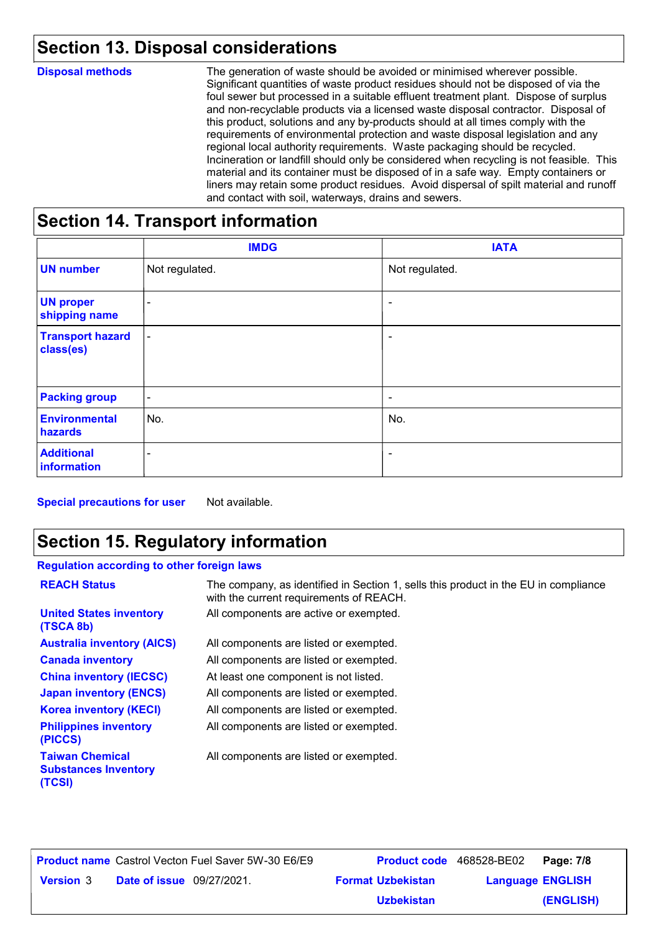# **Section 13. Disposal considerations**

| <b>Disposal methods</b> | The generation of waste should be avoided or minimised wherever possible.<br>Significant quantities of waste product residues should not be disposed of via the<br>foul sewer but processed in a suitable effluent treatment plant. Dispose of surplus<br>and non-recyclable products via a licensed waste disposal contractor. Disposal of<br>this product, solutions and any by-products should at all times comply with the<br>requirements of environmental protection and waste disposal legislation and any<br>regional local authority requirements. Waste packaging should be recycled.<br>Incineration or landfill should only be considered when recycling is not feasible. This<br>material and its container must be disposed of in a safe way. Empty containers or<br>liners may retain some product residues. Avoid dispersal of spilt material and runoff<br>and contact with soil, waterways, drains and sewers. |
|-------------------------|----------------------------------------------------------------------------------------------------------------------------------------------------------------------------------------------------------------------------------------------------------------------------------------------------------------------------------------------------------------------------------------------------------------------------------------------------------------------------------------------------------------------------------------------------------------------------------------------------------------------------------------------------------------------------------------------------------------------------------------------------------------------------------------------------------------------------------------------------------------------------------------------------------------------------------|
|                         |                                                                                                                                                                                                                                                                                                                                                                                                                                                                                                                                                                                                                                                                                                                                                                                                                                                                                                                                  |

### **Section 14. Transport information**

|                                      | <b>IMDG</b>              | <b>IATA</b>              |
|--------------------------------------|--------------------------|--------------------------|
| <b>UN number</b>                     | Not regulated.           | Not regulated.           |
| <b>UN proper</b><br>shipping name    | $\overline{\phantom{0}}$ | $\overline{\phantom{a}}$ |
| <b>Transport hazard</b><br>class(es) | $\blacksquare$           | ۰                        |
| <b>Packing group</b>                 | $\overline{\phantom{a}}$ | $\overline{\phantom{a}}$ |
| <b>Environmental</b><br>hazards      | No.                      | No.                      |
| <b>Additional</b><br>information     | $\overline{\phantom{a}}$ | ۰                        |

**Special precautions for user** Not available.

# **Section 15. Regulatory information**

### **Regulation according to other foreign laws**

| <b>REACH Status</b>                                             | The company, as identified in Section 1, sells this product in the EU in compliance<br>with the current requirements of REACH. |
|-----------------------------------------------------------------|--------------------------------------------------------------------------------------------------------------------------------|
| <b>United States inventory</b><br>(TSCA 8b)                     | All components are active or exempted.                                                                                         |
| <b>Australia inventory (AICS)</b>                               | All components are listed or exempted.                                                                                         |
| <b>Canada inventory</b>                                         | All components are listed or exempted.                                                                                         |
| <b>China inventory (IECSC)</b>                                  | At least one component is not listed.                                                                                          |
| <b>Japan inventory (ENCS)</b>                                   | All components are listed or exempted.                                                                                         |
| <b>Korea inventory (KECI)</b>                                   | All components are listed or exempted.                                                                                         |
| <b>Philippines inventory</b><br>(PICCS)                         | All components are listed or exempted.                                                                                         |
| <b>Taiwan Chemical</b><br><b>Substances Inventory</b><br>(TCSI) | All components are listed or exempted.                                                                                         |